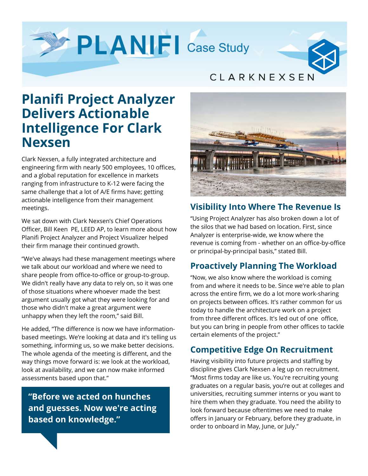PLANIFI Case Study

## CLARKNEXSEN

# **Planifi Project Analyzer Delivers Actionable Intelligence For Clark Nexsen**

Clark Nexsen, a fully integrated architecture and engineering firm with nearly 500 employees, 10 offices, and a global reputation for excellence in markets ranging from infrastructure to K-12 were facing the same challenge that a lot of A/E firms have; getting actionable intelligence from their management meetings.

We sat down with Clark Nexsen's Chief Operations Officer, Bill Keen PE, LEED AP, to learn more about how Planifi Project Analyzer and Project Visualizer helped their firm manage their continued growth.

"We've always had these management meetings where we talk about our workload and where we need to share people from office-to-office or group-to-group. We didn't really have any data to rely on, so it was one of those situations where whoever made the best argument usually got what they were looking for and those who didn't make a great argument were unhappy when they left the room," said Bill.

He added, "The difference is now we have informationbased meetings. We're looking at data and it's telling us something, informing us, so we make better decisions. The whole agenda of the meeting is different, and the way things move forward is: we look at the workload, look at availability, and we can now make informed assessments based upon that."

**"Before we acted on hunches and guesses. Now we're acting based on knowledge."**



#### **Visibility Into Where The Revenue Is**

"Using Project Analyzer has also broken down a lot of the silos that we had based on location. First, since Analyzer is enterprise-wide, we know where the revenue is coming from - whether on an office-by-office or principal-by-principal basis," stated Bill.

## **Proactively Planning The Workload**

"Now, we also know where the workload is coming from and where it needs to be. Since we're able to plan across the entire firm, we do a lot more work-sharing on projects between offices. It's rather common for us today to handle the architecture work on a project from three different offices. It's led out of one office, but you can bring in people from other offices to tackle certain elements of the project."

## **Competitive Edge On Recruitment**

Having visibility into future projects and staffing by discipline gives Clark Nexsen a leg up on recruitment. "Most firms today are like us. You're recruiting young graduates on a regular basis, you're out at colleges and universities, recruiting summer interns or you want to hire them when they graduate. You need the ability to look forward because oftentimes we need to make offers in January or February, before they graduate, in order to onboard in May, June, or July."